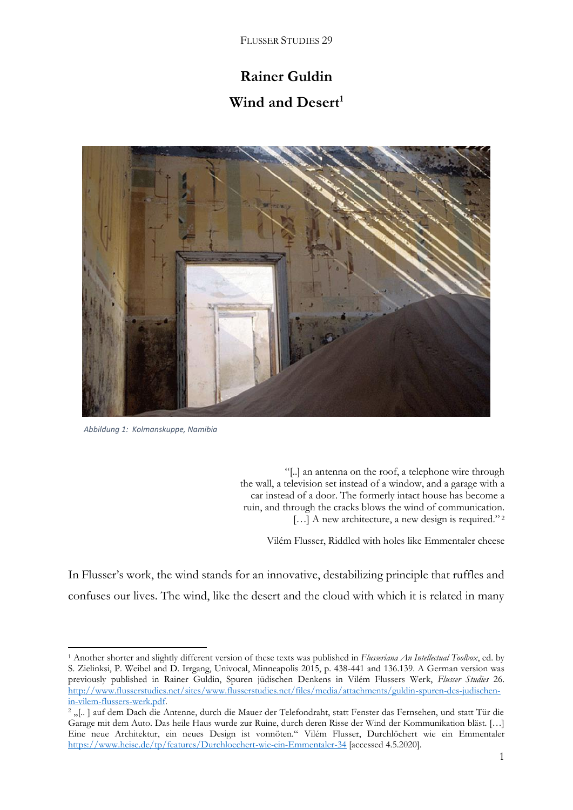FLUSSER STUDIES 29

## **Rainer Guldin**

## **Wind and Desert<sup>1</sup>**



 *Abbildung 1: Kolmanskuppe, Namibia*

1

"[..] an antenna on the roof, a telephone wire through the wall, a television set instead of a window, and a garage with a car instead of a door. The formerly intact house has become a ruin, and through the cracks blows the wind of communication. [...] A new architecture, a new design is required."<sup>2</sup>

Vilém Flusser, Riddled with holes like Emmentaler cheese

In Flusser's work, the wind stands for an innovative, destabilizing principle that ruffles and confuses our lives. The wind, like the desert and the cloud with which it is related in many

<sup>1</sup> Another shorter and slightly different version of these texts was published in *Flusseriana An Intellectual Toolbox*, ed. by S. Zielinksi, P. Weibel and D. Irrgang, Univocal, Minneapolis 2015, p. 438-441 and 136.139. A German version was previously published in Rainer Guldin, Spuren jüdischen Denkens in Vilém Flussers Werk, *Flusser Studies* 26. [http://www.flusserstudies.net/sites/www.flusserstudies.net/files/media/attachments/guldin-spuren-des-judischen](http://www.flusserstudies.net/sites/www.flusserstudies.net/files/media/attachments/guldin-spuren-des-judischen-in-vilem-flussers-werk.pdf)[in-vilem-flussers-werk.pdf.](http://www.flusserstudies.net/sites/www.flusserstudies.net/files/media/attachments/guldin-spuren-des-judischen-in-vilem-flussers-werk.pdf)

<sup>&</sup>lt;sup>2</sup> "[..] auf dem Dach die Antenne, durch die Mauer der Telefondraht, statt Fenster das Fernsehen, und statt Tür die Garage mit dem Auto. Das heile Haus wurde zur Ruine, durch deren Risse der Wind der Kommunikation bläst. […] Eine neue Architektur, ein neues Design ist vonnöten." Vilém Flusser, Durchlöchert wie ein Emmentaler <https://www.heise.de/tp/features/Durchloechert-wie-ein-Emmentaler-34> [accessed 4.5.2020].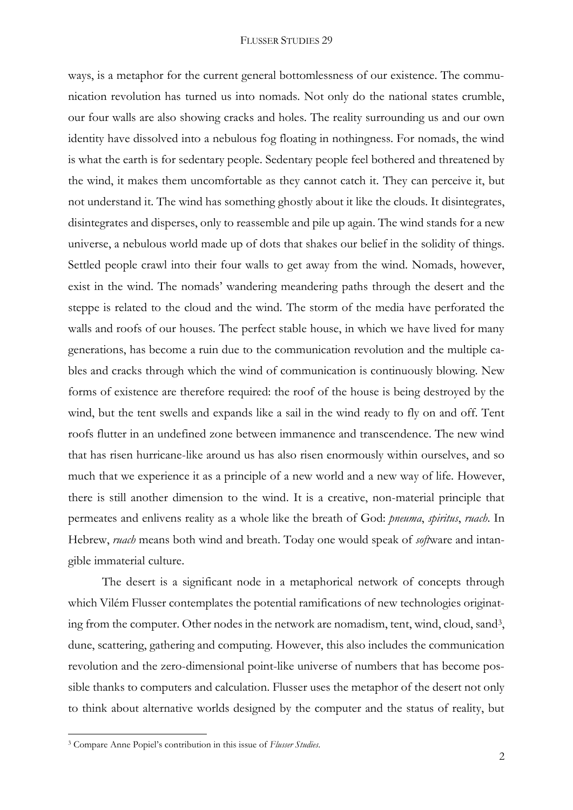## FLUSSER STUDIES 29

ways, is a metaphor for the current general bottomlessness of our existence. The communication revolution has turned us into nomads. Not only do the national states crumble, our four walls are also showing cracks and holes. The reality surrounding us and our own identity have dissolved into a nebulous fog floating in nothingness. For nomads, the wind is what the earth is for sedentary people. Sedentary people feel bothered and threatened by the wind, it makes them uncomfortable as they cannot catch it. They can perceive it, but not understand it. The wind has something ghostly about it like the clouds. It disintegrates, disintegrates and disperses, only to reassemble and pile up again. The wind stands for a new universe, a nebulous world made up of dots that shakes our belief in the solidity of things. Settled people crawl into their four walls to get away from the wind. Nomads, however, exist in the wind. The nomads' wandering meandering paths through the desert and the steppe is related to the cloud and the wind. The storm of the media have perforated the walls and roofs of our houses. The perfect stable house, in which we have lived for many generations, has become a ruin due to the communication revolution and the multiple cables and cracks through which the wind of communication is continuously blowing. New forms of existence are therefore required: the roof of the house is being destroyed by the wind, but the tent swells and expands like a sail in the wind ready to fly on and off. Tent roofs flutter in an undefined zone between immanence and transcendence. The new wind that has risen hurricane-like around us has also risen enormously within ourselves, and so much that we experience it as a principle of a new world and a new way of life. However, there is still another dimension to the wind. It is a creative, non-material principle that permeates and enlivens reality as a whole like the breath of God: *pneuma*, *spiritus*, *ruach*. In Hebrew, *ruach* means both wind and breath. Today one would speak of *soft*ware and intangible immaterial culture.

The desert is a significant node in a metaphorical network of concepts through which Vilém Flusser contemplates the potential ramifications of new technologies originating from the computer. Other nodes in the network are nomadism, tent, wind, cloud, sand<sup>3</sup> , dune, scattering, gathering and computing. However, this also includes the communication revolution and the zero-dimensional point-like universe of numbers that has become possible thanks to computers and calculation. Flusser uses the metaphor of the desert not only to think about alternative worlds designed by the computer and the status of reality, but

1

<sup>3</sup> Compare Anne Popiel's contribution in this issue of *Flusser Studies*.